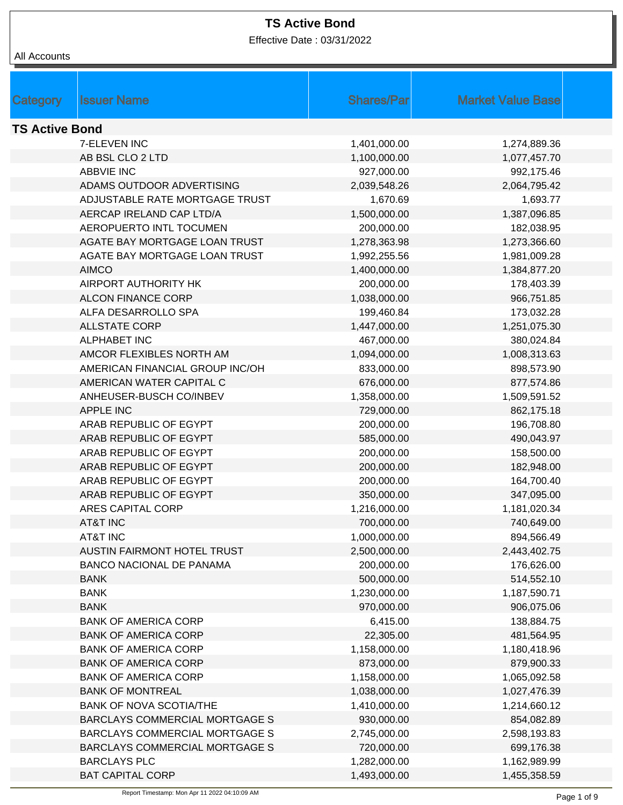Effective Date : 03/31/2022

| Category              | <b>Issuer Name</b>                    | <b>Shares/Par</b> | <b>Market Value Base</b> |  |
|-----------------------|---------------------------------------|-------------------|--------------------------|--|
|                       |                                       |                   |                          |  |
| <b>TS Active Bond</b> |                                       |                   |                          |  |
|                       | <b>7-ELEVEN INC</b>                   | 1,401,000.00      | 1,274,889.36             |  |
|                       | AB BSL CLO 2 LTD                      | 1,100,000.00      | 1,077,457.70             |  |
|                       | <b>ABBVIE INC</b>                     | 927,000.00        | 992,175.46               |  |
|                       | ADAMS OUTDOOR ADVERTISING             | 2,039,548.26      | 2,064,795.42             |  |
|                       | ADJUSTABLE RATE MORTGAGE TRUST        | 1,670.69          | 1,693.77                 |  |
|                       | AERCAP IRELAND CAP LTD/A              | 1,500,000.00      | 1,387,096.85             |  |
|                       | AEROPUERTO INTL TOCUMEN               | 200,000.00        | 182,038.95               |  |
|                       | AGATE BAY MORTGAGE LOAN TRUST         | 1,278,363.98      | 1,273,366.60             |  |
|                       | AGATE BAY MORTGAGE LOAN TRUST         | 1,992,255.56      | 1,981,009.28             |  |
|                       | <b>AIMCO</b>                          | 1,400,000.00      | 1,384,877.20             |  |
|                       | AIRPORT AUTHORITY HK                  | 200,000.00        | 178,403.39               |  |
|                       | <b>ALCON FINANCE CORP</b>             | 1,038,000.00      | 966,751.85               |  |
|                       | ALFA DESARROLLO SPA                   | 199,460.84        | 173,032.28               |  |
|                       | <b>ALLSTATE CORP</b>                  | 1,447,000.00      | 1,251,075.30             |  |
|                       | <b>ALPHABET INC</b>                   | 467,000.00        | 380,024.84               |  |
|                       | AMCOR FLEXIBLES NORTH AM              | 1,094,000.00      | 1,008,313.63             |  |
|                       | AMERICAN FINANCIAL GROUP INC/OH       | 833,000.00        | 898,573.90               |  |
|                       | AMERICAN WATER CAPITAL C              | 676,000.00        | 877,574.86               |  |
|                       | ANHEUSER-BUSCH CO/INBEV               | 1,358,000.00      | 1,509,591.52             |  |
|                       | <b>APPLE INC</b>                      | 729,000.00        | 862,175.18               |  |
|                       | ARAB REPUBLIC OF EGYPT                | 200,000.00        | 196,708.80               |  |
|                       | ARAB REPUBLIC OF EGYPT                | 585,000.00        | 490,043.97               |  |
|                       | ARAB REPUBLIC OF EGYPT                | 200,000.00        | 158,500.00               |  |
|                       | ARAB REPUBLIC OF EGYPT                | 200,000.00        | 182,948.00               |  |
|                       | ARAB REPUBLIC OF EGYPT                | 200,000.00        | 164,700.40               |  |
|                       | ARAB REPUBLIC OF EGYPT                | 350,000.00        | 347,095.00               |  |
|                       | ARES CAPITAL CORP                     | 1,216,000.00      | 1,181,020.34             |  |
|                       | AT&T INC                              | 700,000.00        | 740,649.00               |  |
|                       | <b>AT&amp;T INC</b>                   | 1,000,000.00      | 894,566.49               |  |
|                       | <b>AUSTIN FAIRMONT HOTEL TRUST</b>    | 2,500,000.00      | 2,443,402.75             |  |
|                       | BANCO NACIONAL DE PANAMA              | 200,000.00        | 176,626.00               |  |
|                       | <b>BANK</b>                           | 500,000.00        | 514,552.10               |  |
|                       | <b>BANK</b>                           | 1,230,000.00      | 1,187,590.71             |  |
|                       | <b>BANK</b>                           | 970,000.00        | 906,075.06               |  |
|                       | <b>BANK OF AMERICA CORP</b>           | 6,415.00          | 138,884.75               |  |
|                       | <b>BANK OF AMERICA CORP</b>           | 22,305.00         | 481,564.95               |  |
|                       | <b>BANK OF AMERICA CORP</b>           | 1,158,000.00      | 1,180,418.96             |  |
|                       | <b>BANK OF AMERICA CORP</b>           | 873,000.00        | 879,900.33               |  |
|                       | <b>BANK OF AMERICA CORP</b>           | 1,158,000.00      | 1,065,092.58             |  |
|                       | <b>BANK OF MONTREAL</b>               | 1,038,000.00      | 1,027,476.39             |  |
|                       | <b>BANK OF NOVA SCOTIA/THE</b>        | 1,410,000.00      | 1,214,660.12             |  |
|                       | <b>BARCLAYS COMMERCIAL MORTGAGE S</b> | 930,000.00        | 854,082.89               |  |
|                       | BARCLAYS COMMERCIAL MORTGAGE S        | 2,745,000.00      | 2,598,193.83             |  |
|                       | BARCLAYS COMMERCIAL MORTGAGE S        | 720,000.00        | 699,176.38               |  |
|                       | <b>BARCLAYS PLC</b>                   | 1,282,000.00      | 1,162,989.99             |  |
|                       | <b>BAT CAPITAL CORP</b>               | 1,493,000.00      | 1,455,358.59             |  |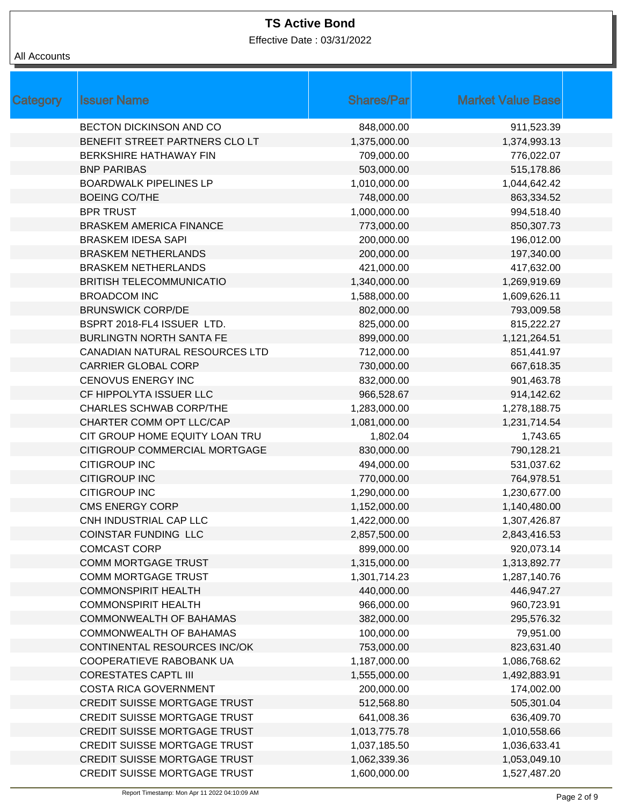Effective Date : 03/31/2022

| Category | <b>Issuer Name</b>                  | <b>Shares/Par</b> | <b>Market Value Base</b> |
|----------|-------------------------------------|-------------------|--------------------------|
|          | <b>BECTON DICKINSON AND CO</b>      | 848,000.00        | 911,523.39               |
|          | BENEFIT STREET PARTNERS CLO LT      | 1,375,000.00      | 1,374,993.13             |
|          | BERKSHIRE HATHAWAY FIN              | 709,000.00        | 776,022.07               |
|          | <b>BNP PARIBAS</b>                  | 503,000.00        | 515,178.86               |
|          | <b>BOARDWALK PIPELINES LP</b>       | 1,010,000.00      | 1,044,642.42             |
|          | <b>BOEING CO/THE</b>                | 748,000.00        | 863,334.52               |
|          | <b>BPR TRUST</b>                    | 1,000,000.00      | 994,518.40               |
|          | <b>BRASKEM AMERICA FINANCE</b>      | 773,000.00        | 850,307.73               |
|          | <b>BRASKEM IDESA SAPI</b>           | 200,000.00        | 196,012.00               |
|          | <b>BRASKEM NETHERLANDS</b>          | 200,000.00        | 197,340.00               |
|          | <b>BRASKEM NETHERLANDS</b>          | 421,000.00        | 417,632.00               |
|          | <b>BRITISH TELECOMMUNICATIO</b>     | 1,340,000.00      | 1,269,919.69             |
|          | <b>BROADCOM INC</b>                 | 1,588,000.00      | 1,609,626.11             |
|          | <b>BRUNSWICK CORP/DE</b>            | 802,000.00        | 793,009.58               |
|          | BSPRT 2018-FL4 ISSUER LTD.          | 825,000.00        | 815,222.27               |
|          | <b>BURLINGTN NORTH SANTA FE</b>     | 899,000.00        | 1,121,264.51             |
|          | CANADIAN NATURAL RESOURCES LTD      | 712,000.00        | 851,441.97               |
|          | <b>CARRIER GLOBAL CORP</b>          | 730,000.00        | 667,618.35               |
|          | <b>CENOVUS ENERGY INC</b>           | 832,000.00        | 901,463.78               |
|          | CF HIPPOLYTA ISSUER LLC             | 966,528.67        | 914,142.62               |
|          | <b>CHARLES SCHWAB CORP/THE</b>      | 1,283,000.00      | 1,278,188.75             |
|          | CHARTER COMM OPT LLC/CAP            | 1,081,000.00      | 1,231,714.54             |
|          | CIT GROUP HOME EQUITY LOAN TRU      | 1,802.04          | 1,743.65                 |
|          | CITIGROUP COMMERCIAL MORTGAGE       | 830,000.00        | 790,128.21               |
|          | <b>CITIGROUP INC</b>                | 494,000.00        | 531,037.62               |
|          | <b>CITIGROUP INC</b>                | 770,000.00        | 764,978.51               |
|          | <b>CITIGROUP INC</b>                | 1,290,000.00      | 1,230,677.00             |
|          | <b>CMS ENERGY CORP</b>              | 1,152,000.00      | 1,140,480.00             |
|          | CNH INDUSTRIAL CAP LLC              | 1,422,000.00      | 1,307,426.87             |
|          | COINSTAR FUNDING LLC                | 2,857,500.00      | 2,843,416.53             |
|          | <b>COMCAST CORP</b>                 | 899,000.00        | 920,073.14               |
|          | <b>COMM MORTGAGE TRUST</b>          | 1,315,000.00      | 1,313,892.77             |
|          | <b>COMM MORTGAGE TRUST</b>          | 1,301,714.23      | 1,287,140.76             |
|          | <b>COMMONSPIRIT HEALTH</b>          | 440,000.00        | 446,947.27               |
|          | <b>COMMONSPIRIT HEALTH</b>          | 966,000.00        | 960,723.91               |
|          | COMMONWEALTH OF BAHAMAS             | 382,000.00        | 295,576.32               |
|          | COMMONWEALTH OF BAHAMAS             | 100,000.00        | 79,951.00                |
|          | CONTINENTAL RESOURCES INC/OK        | 753,000.00        | 823,631.40               |
|          | COOPERATIEVE RABOBANK UA            | 1,187,000.00      | 1,086,768.62             |
|          | <b>CORESTATES CAPTL III</b>         | 1,555,000.00      | 1,492,883.91             |
|          | <b>COSTA RICA GOVERNMENT</b>        | 200,000.00        | 174,002.00               |
|          | CREDIT SUISSE MORTGAGE TRUST        | 512,568.80        | 505,301.04               |
|          | CREDIT SUISSE MORTGAGE TRUST        | 641,008.36        | 636,409.70               |
|          | <b>CREDIT SUISSE MORTGAGE TRUST</b> | 1,013,775.78      | 1,010,558.66             |
|          | <b>CREDIT SUISSE MORTGAGE TRUST</b> | 1,037,185.50      | 1,036,633.41             |
|          | <b>CREDIT SUISSE MORTGAGE TRUST</b> | 1,062,339.36      | 1,053,049.10             |
|          | CREDIT SUISSE MORTGAGE TRUST        | 1,600,000.00      | 1,527,487.20             |
|          |                                     |                   |                          |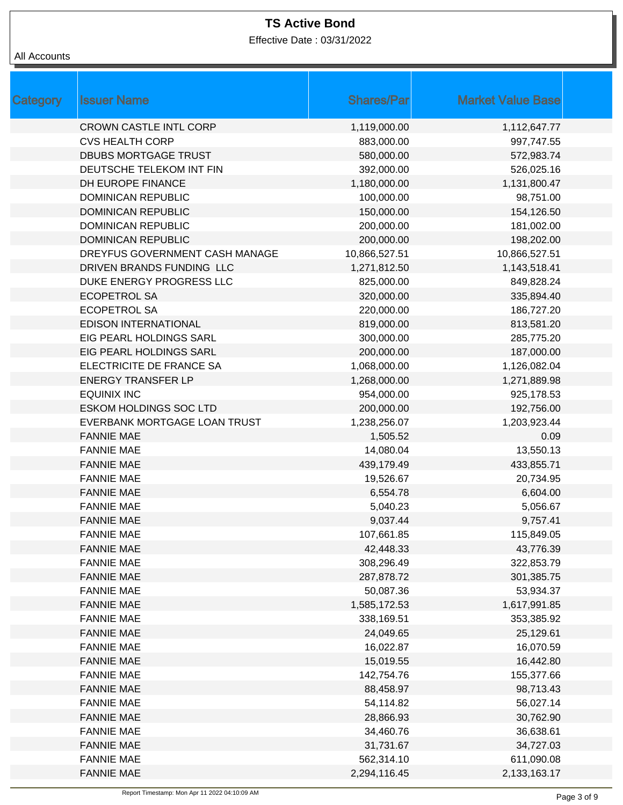Effective Date : 03/31/2022

| Category | <b>Issuer Name</b>             | <b>Shares/Par</b> | <b>Market Value Base</b> |
|----------|--------------------------------|-------------------|--------------------------|
|          | <b>CROWN CASTLE INTL CORP</b>  | 1,119,000.00      | 1,112,647.77             |
|          | <b>CVS HEALTH CORP</b>         | 883,000.00        | 997,747.55               |
|          | <b>DBUBS MORTGAGE TRUST</b>    | 580,000.00        | 572,983.74               |
|          | DEUTSCHE TELEKOM INT FIN       | 392,000.00        | 526,025.16               |
|          | DH EUROPE FINANCE              | 1,180,000.00      | 1,131,800.47             |
|          | <b>DOMINICAN REPUBLIC</b>      | 100,000.00        | 98,751.00                |
|          | <b>DOMINICAN REPUBLIC</b>      | 150,000.00        | 154,126.50               |
|          | <b>DOMINICAN REPUBLIC</b>      | 200,000.00        | 181,002.00               |
|          | <b>DOMINICAN REPUBLIC</b>      | 200,000.00        | 198,202.00               |
|          | DREYFUS GOVERNMENT CASH MANAGE | 10,866,527.51     | 10,866,527.51            |
|          | DRIVEN BRANDS FUNDING LLC      | 1,271,812.50      | 1,143,518.41             |
|          | DUKE ENERGY PROGRESS LLC       | 825,000.00        | 849,828.24               |
|          | <b>ECOPETROL SA</b>            | 320,000.00        | 335,894.40               |
|          | <b>ECOPETROL SA</b>            | 220,000.00        | 186,727.20               |
|          | <b>EDISON INTERNATIONAL</b>    | 819,000.00        | 813,581.20               |
|          | EIG PEARL HOLDINGS SARL        | 300,000.00        | 285,775.20               |
|          | EIG PEARL HOLDINGS SARL        | 200,000.00        | 187,000.00               |
|          | ELECTRICITE DE FRANCE SA       | 1,068,000.00      | 1,126,082.04             |
|          | <b>ENERGY TRANSFER LP</b>      | 1,268,000.00      | 1,271,889.98             |
|          | <b>EQUINIX INC</b>             | 954,000.00        | 925,178.53               |
|          | <b>ESKOM HOLDINGS SOC LTD</b>  | 200,000.00        | 192,756.00               |
|          | EVERBANK MORTGAGE LOAN TRUST   | 1,238,256.07      | 1,203,923.44             |
|          | <b>FANNIE MAE</b>              | 1,505.52          | 0.09                     |
|          | <b>FANNIE MAE</b>              | 14,080.04         | 13,550.13                |
|          | <b>FANNIE MAE</b>              | 439,179.49        | 433,855.71               |
|          | <b>FANNIE MAE</b>              | 19,526.67         | 20,734.95                |
|          | <b>FANNIE MAE</b>              | 6,554.78          | 6,604.00                 |
|          | <b>FANNIE MAE</b>              | 5,040.23          | 5,056.67                 |
|          | <b>FANNIE MAE</b>              | 9,037.44          | 9,757.41                 |
|          | <b>FANNIE MAE</b>              | 107,661.85        | 115,849.05               |
|          | <b>FANNIE MAE</b>              | 42,448.33         | 43,776.39                |
|          | <b>FANNIE MAE</b>              | 308,296.49        | 322,853.79               |
|          | <b>FANNIE MAE</b>              | 287,878.72        | 301,385.75               |
|          | <b>FANNIE MAE</b>              | 50,087.36         | 53,934.37                |
|          | <b>FANNIE MAE</b>              | 1,585,172.53      | 1,617,991.85             |
|          | <b>FANNIE MAE</b>              | 338,169.51        | 353,385.92               |
|          | <b>FANNIE MAE</b>              | 24,049.65         | 25,129.61                |
|          | <b>FANNIE MAE</b>              | 16,022.87         | 16,070.59                |
|          | <b>FANNIE MAE</b>              | 15,019.55         | 16,442.80                |
|          | <b>FANNIE MAE</b>              | 142,754.76        | 155,377.66               |
|          | <b>FANNIE MAE</b>              | 88,458.97         | 98,713.43                |
|          | <b>FANNIE MAE</b>              | 54,114.82         | 56,027.14                |
|          | <b>FANNIE MAE</b>              | 28,866.93         | 30,762.90                |
|          | <b>FANNIE MAE</b>              | 34,460.76         | 36,638.61                |
|          | <b>FANNIE MAE</b>              | 31,731.67         | 34,727.03                |
|          | <b>FANNIE MAE</b>              | 562,314.10        | 611,090.08               |
|          | <b>FANNIE MAE</b>              | 2,294,116.45      | 2,133,163.17             |
|          |                                |                   |                          |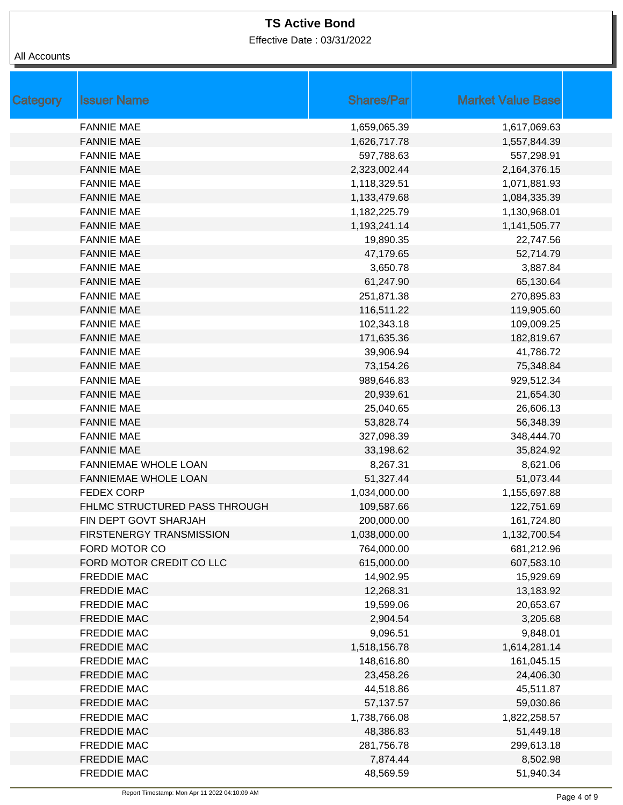Effective Date : 03/31/2022

| Category | <b>Issuer Name</b>            | <b>Shares/Par</b> | <b>Market Value Base</b> |
|----------|-------------------------------|-------------------|--------------------------|
|          | <b>FANNIE MAE</b>             | 1,659,065.39      | 1,617,069.63             |
|          | <b>FANNIE MAE</b>             | 1,626,717.78      | 1,557,844.39             |
|          | <b>FANNIE MAE</b>             | 597,788.63        | 557,298.91               |
|          | <b>FANNIE MAE</b>             | 2,323,002.44      | 2,164,376.15             |
|          | <b>FANNIE MAE</b>             | 1,118,329.51      | 1,071,881.93             |
|          | <b>FANNIE MAE</b>             | 1,133,479.68      | 1,084,335.39             |
|          | <b>FANNIE MAE</b>             | 1,182,225.79      | 1,130,968.01             |
|          | <b>FANNIE MAE</b>             | 1,193,241.14      | 1,141,505.77             |
|          | <b>FANNIE MAE</b>             | 19,890.35         | 22,747.56                |
|          | <b>FANNIE MAE</b>             | 47,179.65         | 52,714.79                |
|          | <b>FANNIE MAE</b>             | 3,650.78          | 3,887.84                 |
|          | <b>FANNIE MAE</b>             | 61,247.90         | 65,130.64                |
|          | <b>FANNIE MAE</b>             | 251,871.38        | 270,895.83               |
|          | <b>FANNIE MAE</b>             | 116,511.22        | 119,905.60               |
|          | <b>FANNIE MAE</b>             | 102,343.18        | 109,009.25               |
|          | <b>FANNIE MAE</b>             | 171,635.36        | 182,819.67               |
|          | <b>FANNIE MAE</b>             | 39,906.94         | 41,786.72                |
|          | <b>FANNIE MAE</b>             | 73,154.26         | 75,348.84                |
|          | <b>FANNIE MAE</b>             | 989,646.83        | 929,512.34               |
|          | <b>FANNIE MAE</b>             | 20,939.61         | 21,654.30                |
|          | <b>FANNIE MAE</b>             | 25,040.65         | 26,606.13                |
|          | <b>FANNIE MAE</b>             | 53,828.74         | 56,348.39                |
|          | <b>FANNIE MAE</b>             | 327,098.39        | 348,444.70               |
|          | <b>FANNIE MAE</b>             | 33,198.62         | 35,824.92                |
|          | FANNIEMAE WHOLE LOAN          | 8,267.31          | 8,621.06                 |
|          | <b>FANNIEMAE WHOLE LOAN</b>   | 51,327.44         | 51,073.44                |
|          | <b>FEDEX CORP</b>             | 1,034,000.00      | 1,155,697.88             |
|          | FHLMC STRUCTURED PASS THROUGH | 109,587.66        | 122,751.69               |
|          | FIN DEPT GOVT SHARJAH         | 200,000.00        | 161,724.80               |
|          | FIRSTENERGY TRANSMISSION      | 1,038,000.00      | 1,132,700.54             |
|          | FORD MOTOR CO                 | 764,000.00        | 681,212.96               |
|          | FORD MOTOR CREDIT CO LLC      | 615,000.00        | 607,583.10               |
|          | <b>FREDDIE MAC</b>            | 14,902.95         | 15,929.69                |
|          | <b>FREDDIE MAC</b>            | 12,268.31         | 13,183.92                |
|          | <b>FREDDIE MAC</b>            | 19,599.06         | 20,653.67                |
|          | <b>FREDDIE MAC</b>            | 2,904.54          | 3,205.68                 |
|          | <b>FREDDIE MAC</b>            | 9,096.51          | 9,848.01                 |
|          | <b>FREDDIE MAC</b>            | 1,518,156.78      | 1,614,281.14             |
|          | <b>FREDDIE MAC</b>            | 148,616.80        | 161,045.15               |
|          | <b>FREDDIE MAC</b>            | 23,458.26         | 24,406.30                |
|          | <b>FREDDIE MAC</b>            | 44,518.86         | 45,511.87                |
|          | <b>FREDDIE MAC</b>            | 57,137.57         | 59,030.86                |
|          | <b>FREDDIE MAC</b>            | 1,738,766.08      | 1,822,258.57             |
|          | <b>FREDDIE MAC</b>            | 48,386.83         | 51,449.18                |
|          | <b>FREDDIE MAC</b>            | 281,756.78        | 299,613.18               |
|          | <b>FREDDIE MAC</b>            | 7,874.44          | 8,502.98                 |
|          | <b>FREDDIE MAC</b>            | 48,569.59         | 51,940.34                |
|          |                               |                   |                          |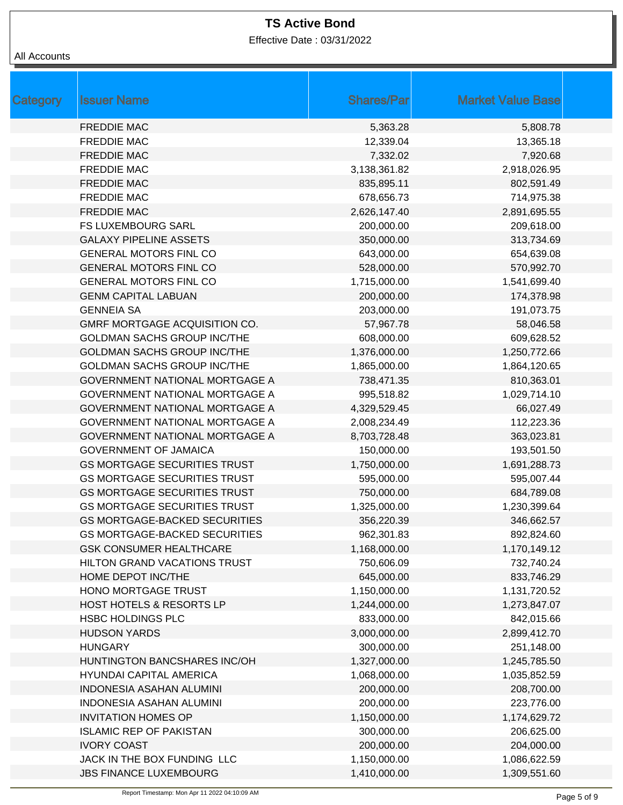Effective Date : 03/31/2022

| Category | <b>Issuer Name</b>                    | <b>Shares/Par</b> | <b>Market Value Base</b> |
|----------|---------------------------------------|-------------------|--------------------------|
|          | <b>FREDDIE MAC</b>                    | 5,363.28          | 5,808.78                 |
|          | <b>FREDDIE MAC</b>                    | 12,339.04         | 13,365.18                |
|          | <b>FREDDIE MAC</b>                    | 7,332.02          | 7,920.68                 |
|          | <b>FREDDIE MAC</b>                    | 3,138,361.82      | 2,918,026.95             |
|          | <b>FREDDIE MAC</b>                    | 835,895.11        | 802,591.49               |
|          | <b>FREDDIE MAC</b>                    | 678,656.73        | 714,975.38               |
|          | <b>FREDDIE MAC</b>                    | 2,626,147.40      | 2,891,695.55             |
|          | <b>FS LUXEMBOURG SARL</b>             | 200,000.00        | 209,618.00               |
|          | <b>GALAXY PIPELINE ASSETS</b>         | 350,000.00        | 313,734.69               |
|          | <b>GENERAL MOTORS FINL CO</b>         | 643,000.00        | 654,639.08               |
|          | <b>GENERAL MOTORS FINL CO</b>         | 528,000.00        | 570,992.70               |
|          | <b>GENERAL MOTORS FINL CO</b>         | 1,715,000.00      | 1,541,699.40             |
|          | <b>GENM CAPITAL LABUAN</b>            | 200,000.00        | 174,378.98               |
|          | <b>GENNEIA SA</b>                     | 203,000.00        | 191,073.75               |
|          | GMRF MORTGAGE ACQUISITION CO.         | 57,967.78         | 58,046.58                |
|          | <b>GOLDMAN SACHS GROUP INC/THE</b>    | 608,000.00        | 609,628.52               |
|          | <b>GOLDMAN SACHS GROUP INC/THE</b>    | 1,376,000.00      | 1,250,772.66             |
|          | <b>GOLDMAN SACHS GROUP INC/THE</b>    | 1,865,000.00      | 1,864,120.65             |
|          | <b>GOVERNMENT NATIONAL MORTGAGE A</b> | 738,471.35        | 810,363.01               |
|          | GOVERNMENT NATIONAL MORTGAGE A        | 995,518.82        | 1,029,714.10             |
|          | <b>GOVERNMENT NATIONAL MORTGAGE A</b> | 4,329,529.45      | 66,027.49                |
|          | GOVERNMENT NATIONAL MORTGAGE A        | 2,008,234.49      | 112,223.36               |
|          | <b>GOVERNMENT NATIONAL MORTGAGE A</b> | 8,703,728.48      | 363,023.81               |
|          | <b>GOVERNMENT OF JAMAICA</b>          | 150,000.00        | 193,501.50               |
|          | <b>GS MORTGAGE SECURITIES TRUST</b>   | 1,750,000.00      | 1,691,288.73             |
|          | <b>GS MORTGAGE SECURITIES TRUST</b>   | 595,000.00        | 595,007.44               |
|          | <b>GS MORTGAGE SECURITIES TRUST</b>   | 750,000.00        | 684,789.08               |
|          | <b>GS MORTGAGE SECURITIES TRUST</b>   | 1,325,000.00      | 1,230,399.64             |
|          | <b>GS MORTGAGE-BACKED SECURITIES</b>  | 356,220.39        | 346,662.57               |
|          | <b>GS MORTGAGE-BACKED SECURITIES</b>  | 962,301.83        | 892,824.60               |
|          | <b>GSK CONSUMER HEALTHCARE</b>        | 1,168,000.00      | 1,170,149.12             |
|          | HILTON GRAND VACATIONS TRUST          | 750,606.09        | 732,740.24               |
|          | HOME DEPOT INC/THE                    | 645,000.00        | 833,746.29               |
|          | HONO MORTGAGE TRUST                   | 1,150,000.00      | 1,131,720.52             |
|          | <b>HOST HOTELS &amp; RESORTS LP</b>   | 1,244,000.00      | 1,273,847.07             |
|          | HSBC HOLDINGS PLC                     | 833,000.00        | 842,015.66               |
|          | <b>HUDSON YARDS</b>                   | 3,000,000.00      | 2,899,412.70             |
|          | <b>HUNGARY</b>                        | 300,000.00        | 251,148.00               |
|          | HUNTINGTON BANCSHARES INC/OH          | 1,327,000.00      | 1,245,785.50             |
|          | <b>HYUNDAI CAPITAL AMERICA</b>        | 1,068,000.00      | 1,035,852.59             |
|          | <b>INDONESIA ASAHAN ALUMINI</b>       | 200,000.00        | 208,700.00               |
|          | <b>INDONESIA ASAHAN ALUMINI</b>       | 200,000.00        | 223,776.00               |
|          | <b>INVITATION HOMES OP</b>            | 1,150,000.00      | 1,174,629.72             |
|          | <b>ISLAMIC REP OF PAKISTAN</b>        | 300,000.00        | 206,625.00               |
|          | <b>IVORY COAST</b>                    | 200,000.00        | 204,000.00               |
|          | JACK IN THE BOX FUNDING LLC           | 1,150,000.00      | 1,086,622.59             |
|          | <b>JBS FINANCE LUXEMBOURG</b>         | 1,410,000.00      | 1,309,551.60             |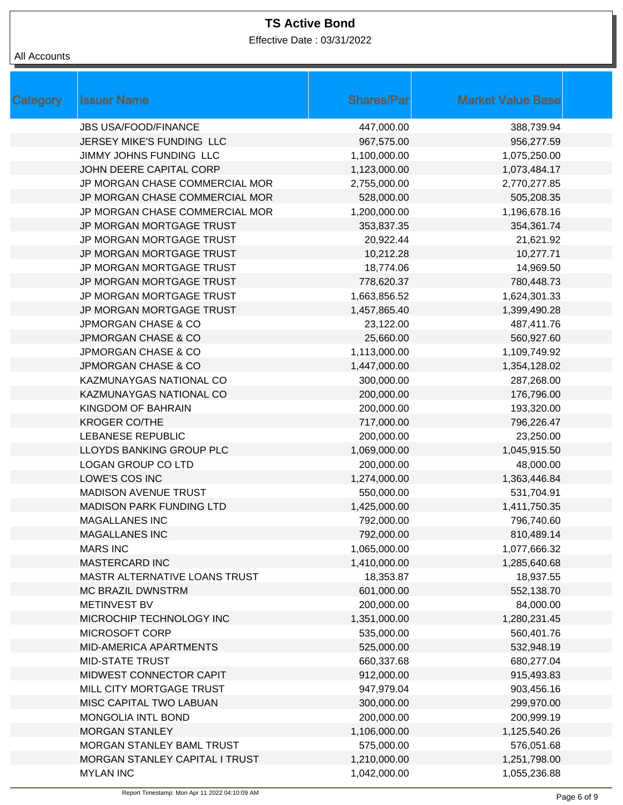Effective Date : 03/31/2022

| Category | <b>Issuer Name</b>              | <b>Shares/Par</b> | <b>Market Value Base</b> |  |
|----------|---------------------------------|-------------------|--------------------------|--|
|          | <b>JBS USA/FOOD/FINANCE</b>     | 447,000.00        | 388,739.94               |  |
|          | JERSEY MIKE'S FUNDING LLC       | 967,575.00        | 956,277.59               |  |
|          | JIMMY JOHNS FUNDING LLC         | 1,100,000.00      | 1,075,250.00             |  |
|          | JOHN DEERE CAPITAL CORP         | 1,123,000.00      | 1,073,484.17             |  |
|          | JP MORGAN CHASE COMMERCIAL MOR  | 2,755,000.00      | 2,770,277.85             |  |
|          | JP MORGAN CHASE COMMERCIAL MOR  | 528,000.00        | 505,208.35               |  |
|          | JP MORGAN CHASE COMMERCIAL MOR  | 1,200,000.00      | 1,196,678.16             |  |
|          | JP MORGAN MORTGAGE TRUST        | 353,837.35        | 354,361.74               |  |
|          | JP MORGAN MORTGAGE TRUST        | 20,922.44         | 21,621.92                |  |
|          | JP MORGAN MORTGAGE TRUST        | 10,212.28         | 10,277.71                |  |
|          | JP MORGAN MORTGAGE TRUST        | 18,774.06         | 14,969.50                |  |
|          | JP MORGAN MORTGAGE TRUST        | 778,620.37        | 780,448.73               |  |
|          | JP MORGAN MORTGAGE TRUST        | 1,663,856.52      | 1,624,301.33             |  |
|          | JP MORGAN MORTGAGE TRUST        | 1,457,865.40      | 1,399,490.28             |  |
|          | <b>JPMORGAN CHASE &amp; CO</b>  | 23,122.00         | 487,411.76               |  |
|          | <b>JPMORGAN CHASE &amp; CO</b>  | 25,660.00         | 560,927.60               |  |
|          | <b>JPMORGAN CHASE &amp; CO</b>  | 1,113,000.00      | 1,109,749.92             |  |
|          | <b>JPMORGAN CHASE &amp; CO</b>  | 1,447,000.00      | 1,354,128.02             |  |
|          | <b>KAZMUNAYGAS NATIONAL CO</b>  | 300,000.00        | 287,268.00               |  |
|          | KAZMUNAYGAS NATIONAL CO         | 200,000.00        | 176,796.00               |  |
|          | KINGDOM OF BAHRAIN              | 200,000.00        | 193,320.00               |  |
|          | <b>KROGER CO/THE</b>            | 717,000.00        | 796,226.47               |  |
|          | <b>LEBANESE REPUBLIC</b>        | 200,000.00        | 23,250.00                |  |
|          | LLOYDS BANKING GROUP PLC        | 1,069,000.00      | 1,045,915.50             |  |
|          | <b>LOGAN GROUP CO LTD</b>       | 200,000.00        | 48,000.00                |  |
|          | LOWE'S COS INC                  | 1,274,000.00      | 1,363,446.84             |  |
|          | <b>MADISON AVENUE TRUST</b>     | 550,000.00        | 531,704.91               |  |
|          | <b>MADISON PARK FUNDING LTD</b> | 1,425,000.00      | 1,411,750.35             |  |
|          | <b>MAGALLANES INC</b>           | 792,000.00        | 796,740.60               |  |
|          | <b>MAGALLANES INC</b>           | 792,000.00        | 810,489.14               |  |
|          | <b>MARS INC</b>                 | 1,065,000.00      | 1,077,666.32             |  |
|          | <b>MASTERCARD INC</b>           | 1,410,000.00      | 1,285,640.68             |  |
|          | MASTR ALTERNATIVE LOANS TRUST   | 18,353.87         | 18,937.55                |  |
|          | <b>MC BRAZIL DWNSTRM</b>        | 601,000.00        | 552,138.70               |  |
|          | METINVEST BV                    | 200,000.00        | 84,000.00                |  |
|          | MICROCHIP TECHNOLOGY INC        | 1,351,000.00      | 1,280,231.45             |  |
|          | MICROSOFT CORP                  | 535,000.00        | 560,401.76               |  |
|          | MID-AMERICA APARTMENTS          | 525,000.00        | 532,948.19               |  |
|          | <b>MID-STATE TRUST</b>          | 660,337.68        | 680,277.04               |  |
|          | MIDWEST CONNECTOR CAPIT         | 912,000.00        | 915,493.83               |  |
|          | MILL CITY MORTGAGE TRUST        | 947,979.04        | 903,456.16               |  |
|          | MISC CAPITAL TWO LABUAN         | 300,000.00        | 299,970.00               |  |
|          | MONGOLIA INTL BOND              | 200,000.00        | 200,999.19               |  |
|          | <b>MORGAN STANLEY</b>           | 1,106,000.00      | 1,125,540.26             |  |
|          | MORGAN STANLEY BAML TRUST       | 575,000.00        | 576,051.68               |  |
|          | MORGAN STANLEY CAPITAL I TRUST  | 1,210,000.00      | 1,251,798.00             |  |
|          | <b>MYLAN INC</b>                | 1,042,000.00      | 1,055,236.88             |  |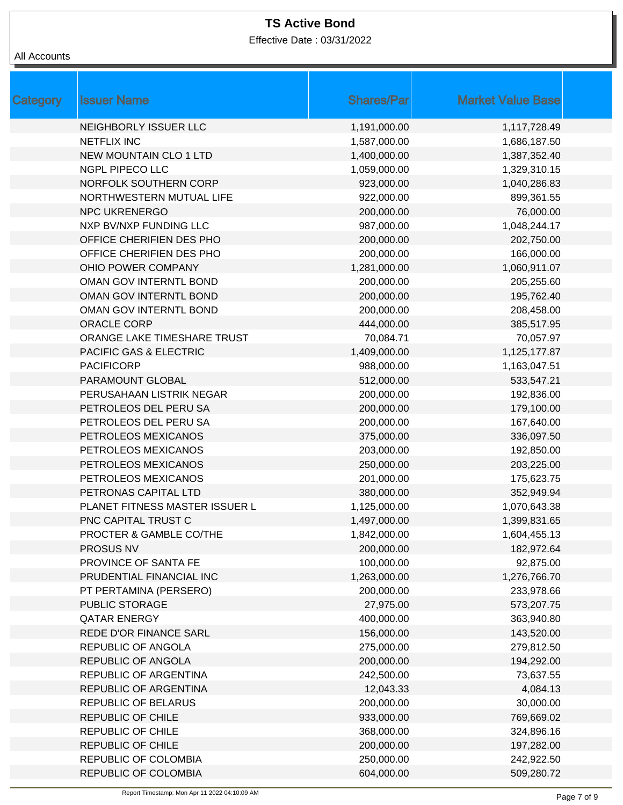Effective Date : 03/31/2022

| Category | <b>Issuer Name</b>                | <b>Shares/Par</b> | <b>Market Value Base</b> |
|----------|-----------------------------------|-------------------|--------------------------|
|          | NEIGHBORLY ISSUER LLC             | 1,191,000.00      | 1,117,728.49             |
|          | <b>NETFLIX INC</b>                | 1,587,000.00      | 1,686,187.50             |
|          | <b>NEW MOUNTAIN CLO 1 LTD</b>     | 1,400,000.00      | 1,387,352.40             |
|          | <b>NGPL PIPECO LLC</b>            | 1,059,000.00      | 1,329,310.15             |
|          | NORFOLK SOUTHERN CORP             | 923,000.00        | 1,040,286.83             |
|          | NORTHWESTERN MUTUAL LIFE          | 922,000.00        | 899,361.55               |
|          | <b>NPC UKRENERGO</b>              | 200,000.00        | 76,000.00                |
|          | NXP BV/NXP FUNDING LLC            | 987,000.00        | 1,048,244.17             |
|          | OFFICE CHERIFIEN DES PHO          | 200,000.00        | 202,750.00               |
|          | OFFICE CHERIFIEN DES PHO          | 200,000.00        | 166,000.00               |
|          | OHIO POWER COMPANY                | 1,281,000.00      | 1,060,911.07             |
|          | OMAN GOV INTERNTL BOND            | 200,000.00        | 205,255.60               |
|          | OMAN GOV INTERNTL BOND            | 200,000.00        | 195,762.40               |
|          | OMAN GOV INTERNTL BOND            | 200,000.00        | 208,458.00               |
|          | <b>ORACLE CORP</b>                | 444,000.00        | 385,517.95               |
|          | ORANGE LAKE TIMESHARE TRUST       | 70,084.71         | 70,057.97                |
|          | <b>PACIFIC GAS &amp; ELECTRIC</b> | 1,409,000.00      | 1,125,177.87             |
|          | <b>PACIFICORP</b>                 | 988,000.00        | 1,163,047.51             |
|          | PARAMOUNT GLOBAL                  | 512,000.00        | 533,547.21               |
|          | PERUSAHAAN LISTRIK NEGAR          | 200,000.00        | 192,836.00               |
|          | PETROLEOS DEL PERU SA             | 200,000.00        | 179,100.00               |
|          | PETROLEOS DEL PERU SA             | 200,000.00        | 167,640.00               |
|          | PETROLEOS MEXICANOS               | 375,000.00        | 336,097.50               |
|          | PETROLEOS MEXICANOS               | 203,000.00        | 192,850.00               |
|          | PETROLEOS MEXICANOS               | 250,000.00        | 203,225.00               |
|          | PETROLEOS MEXICANOS               | 201,000.00        | 175,623.75               |
|          | PETRONAS CAPITAL LTD              | 380,000.00        | 352,949.94               |
|          | PLANET FITNESS MASTER ISSUER L    | 1,125,000.00      | 1,070,643.38             |
|          | PNC CAPITAL TRUST C               | 1,497,000.00      | 1,399,831.65             |
|          | PROCTER & GAMBLE CO/THE           | 1,842,000.00      | 1,604,455.13             |
|          | PROSUS NV                         | 200,000.00        | 182,972.64               |
|          | PROVINCE OF SANTA FE              | 100,000.00        | 92,875.00                |
|          | PRUDENTIAL FINANCIAL INC          | 1,263,000.00      | 1,276,766.70             |
|          | PT PERTAMINA (PERSERO)            | 200,000.00        | 233,978.66               |
|          | PUBLIC STORAGE                    | 27,975.00         | 573,207.75               |
|          | <b>QATAR ENERGY</b>               | 400,000.00        | 363,940.80               |
|          | REDE D'OR FINANCE SARL            | 156,000.00        | 143,520.00               |
|          | REPUBLIC OF ANGOLA                | 275,000.00        | 279,812.50               |
|          | REPUBLIC OF ANGOLA                | 200,000.00        | 194,292.00               |
|          | REPUBLIC OF ARGENTINA             |                   |                          |
|          | REPUBLIC OF ARGENTINA             | 242,500.00        | 73,637.55                |
|          |                                   | 12,043.33         | 4,084.13                 |
|          | REPUBLIC OF BELARUS               | 200,000.00        | 30,000.00                |
|          | REPUBLIC OF CHILE                 | 933,000.00        | 769,669.02               |
|          | REPUBLIC OF CHILE                 | 368,000.00        | 324,896.16               |
|          | <b>REPUBLIC OF CHILE</b>          | 200,000.00        | 197,282.00               |
|          | REPUBLIC OF COLOMBIA              | 250,000.00        | 242,922.50               |
|          | REPUBLIC OF COLOMBIA              | 604,000.00        | 509,280.72               |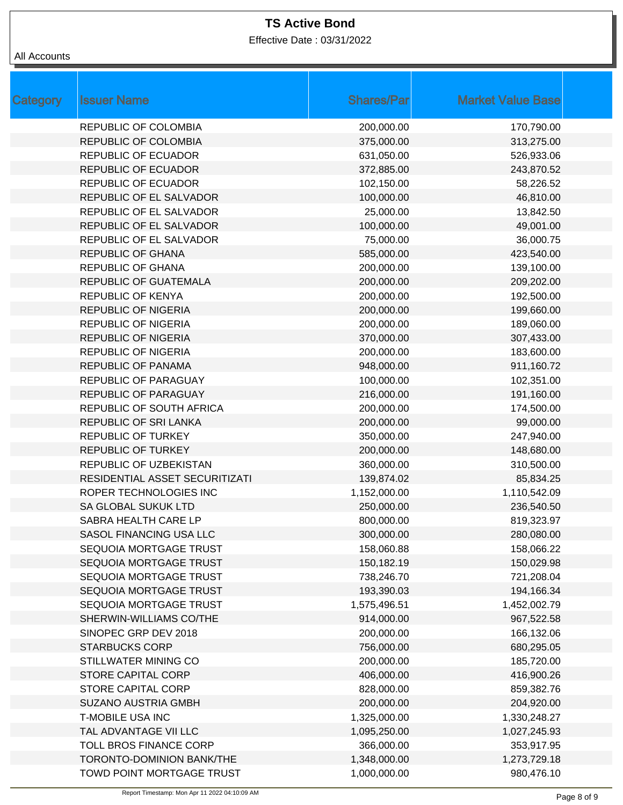Effective Date : 03/31/2022

| <b>Category</b> | <b>Issuer Name</b>             | <b>Shares/Par</b> | <b>Market Value Base</b> |
|-----------------|--------------------------------|-------------------|--------------------------|
|                 | <b>REPUBLIC OF COLOMBIA</b>    | 200,000.00        | 170,790.00               |
|                 | <b>REPUBLIC OF COLOMBIA</b>    | 375,000.00        | 313,275.00               |
|                 | <b>REPUBLIC OF ECUADOR</b>     | 631,050.00        | 526,933.06               |
|                 | <b>REPUBLIC OF ECUADOR</b>     | 372,885.00        | 243,870.52               |
|                 | <b>REPUBLIC OF ECUADOR</b>     | 102,150.00        | 58,226.52                |
|                 | REPUBLIC OF EL SALVADOR        | 100,000.00        | 46,810.00                |
|                 | REPUBLIC OF EL SALVADOR        | 25,000.00         | 13,842.50                |
|                 | REPUBLIC OF EL SALVADOR        | 100,000.00        | 49,001.00                |
|                 | REPUBLIC OF EL SALVADOR        | 75,000.00         | 36,000.75                |
|                 | <b>REPUBLIC OF GHANA</b>       | 585,000.00        | 423,540.00               |
|                 | <b>REPUBLIC OF GHANA</b>       | 200,000.00        | 139,100.00               |
|                 | <b>REPUBLIC OF GUATEMALA</b>   | 200,000.00        | 209,202.00               |
|                 | <b>REPUBLIC OF KENYA</b>       | 200,000.00        | 192,500.00               |
|                 | <b>REPUBLIC OF NIGERIA</b>     | 200,000.00        | 199,660.00               |
|                 | <b>REPUBLIC OF NIGERIA</b>     | 200,000.00        | 189,060.00               |
|                 | <b>REPUBLIC OF NIGERIA</b>     | 370,000.00        | 307,433.00               |
|                 | <b>REPUBLIC OF NIGERIA</b>     | 200,000.00        | 183,600.00               |
|                 | REPUBLIC OF PANAMA             | 948,000.00        | 911,160.72               |
|                 | <b>REPUBLIC OF PARAGUAY</b>    | 100,000.00        | 102,351.00               |
|                 | REPUBLIC OF PARAGUAY           | 216,000.00        | 191,160.00               |
|                 | REPUBLIC OF SOUTH AFRICA       | 200,000.00        | 174,500.00               |
|                 | REPUBLIC OF SRI LANKA          | 200,000.00        | 99,000.00                |
|                 | <b>REPUBLIC OF TURKEY</b>      | 350,000.00        | 247,940.00               |
|                 | <b>REPUBLIC OF TURKEY</b>      | 200,000.00        | 148,680.00               |
|                 | REPUBLIC OF UZBEKISTAN         | 360,000.00        | 310,500.00               |
|                 | RESIDENTIAL ASSET SECURITIZATI | 139,874.02        | 85,834.25                |
|                 | ROPER TECHNOLOGIES INC         | 1,152,000.00      | 1,110,542.09             |
|                 | SA GLOBAL SUKUK LTD            | 250,000.00        | 236,540.50               |
|                 | SABRA HEALTH CARE LP           | 800,000.00        | 819,323.97               |
|                 | SASOL FINANCING USA LLC        | 300,000.00        | 280,080.00               |
|                 | SEQUOIA MORTGAGE TRUST         | 158,060.88        | 158,066.22               |
|                 | SEQUOIA MORTGAGE TRUST         | 150,182.19        | 150,029.98               |
|                 | SEQUOIA MORTGAGE TRUST         | 738,246.70        | 721,208.04               |
|                 | SEQUOIA MORTGAGE TRUST         | 193,390.03        | 194,166.34               |
|                 | SEQUOIA MORTGAGE TRUST         | 1,575,496.51      | 1,452,002.79             |
|                 | SHERWIN-WILLIAMS CO/THE        | 914,000.00        | 967,522.58               |
|                 | SINOPEC GRP DEV 2018           | 200,000.00        | 166,132.06               |
|                 | <b>STARBUCKS CORP</b>          | 756,000.00        | 680,295.05               |
|                 | STILLWATER MINING CO           | 200,000.00        | 185,720.00               |
|                 | STORE CAPITAL CORP             | 406,000.00        | 416,900.26               |
|                 | STORE CAPITAL CORP             | 828,000.00        | 859,382.76               |
|                 | <b>SUZANO AUSTRIA GMBH</b>     | 200,000.00        | 204,920.00               |
|                 | <b>T-MOBILE USA INC</b>        | 1,325,000.00      | 1,330,248.27             |
|                 | TAL ADVANTAGE VII LLC          | 1,095,250.00      | 1,027,245.93             |
|                 | TOLL BROS FINANCE CORP         | 366,000.00        | 353,917.95               |
|                 | TORONTO-DOMINION BANK/THE      | 1,348,000.00      | 1,273,729.18             |
|                 | TOWD POINT MORTGAGE TRUST      | 1,000,000.00      | 980,476.10               |